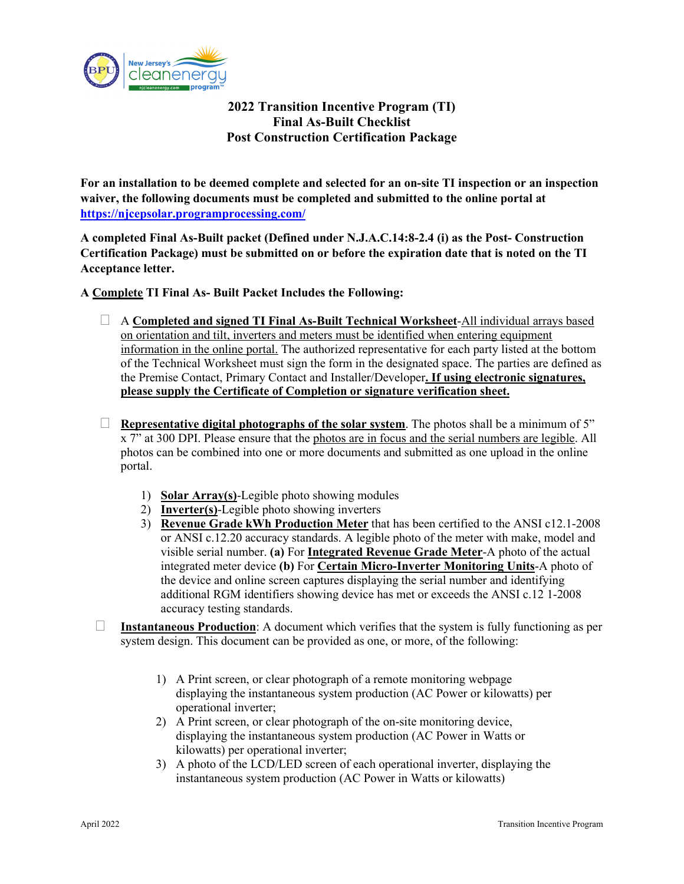

## **2022 Transition Incentive Program (TI) Final As-Built Checklist Post Construction Certification Package**

**For an installation to be deemed complete and selected for an on-site TI inspection or an inspection waiver, the following documents must be completed and submitted to the online portal at <https://njcepsolar.programprocessing.com/>**

**A completed Final As-Built packet (Defined under N.J.A.C.14:8-2.4 (i) as the Post- Construction Certification Package) must be submitted on or before the expiration date that is noted on the TI Acceptance letter.** 

**A Complete TI Final As- Built Packet Includes the Following:**

- A **Completed and signed TI Final As-Built Technical Worksheet**-All individual arrays based on orientation and tilt, inverters and meters must be identified when entering equipment information in the online portal. The authorized representative for each party listed at the bottom of the Technical Worksheet must sign the form in the designated space. The parties are defined as the Premise Contact, Primary Contact and Installer/Developer**. If using electronic signatures, please supply the Certificate of Completion or signature verification sheet.**
- **Representative digital photographs of the solar system.** The photos shall be a minimum of 5" x 7" at 300 DPI. Please ensure that the photos are in focus and the serial numbers are legible. All photos can be combined into one or more documents and submitted as one upload in the online portal.
	- 1) **Solar Array(s)**-Legible photo showing modules
	- 2) **Inverter(s)**-Legible photo showing inverters
	- 3) **Revenue Grade kWh Production Meter** that has been certified to the ANSI c12.1-2008 or ANSI c.12.20 accuracy standards. A legible photo of the meter with make, model and visible serial number. **(a)** For **Integrated Revenue Grade Meter**-A photo of the actual integrated meter device **(b)** For **Certain Micro-Inverter Monitoring Units**-A photo of the device and online screen captures displaying the serial number and identifying additional RGM identifiers showing device has met or exceeds the ANSI c.12 1-2008 accuracy testing standards.
- **Instantaneous Production**: A document which verifies that the system is fully functioning as per system design. This document can be provided as one, or more, of the following:
	- 1) A Print screen, or clear photograph of a remote monitoring webpage displaying the instantaneous system production (AC Power or kilowatts) per operational inverter;
	- 2) A Print screen, or clear photograph of the on-site monitoring device, displaying the instantaneous system production (AC Power in Watts or kilowatts) per operational inverter;
	- 3) A photo of the LCD/LED screen of each operational inverter, displaying the instantaneous system production (AC Power in Watts or kilowatts)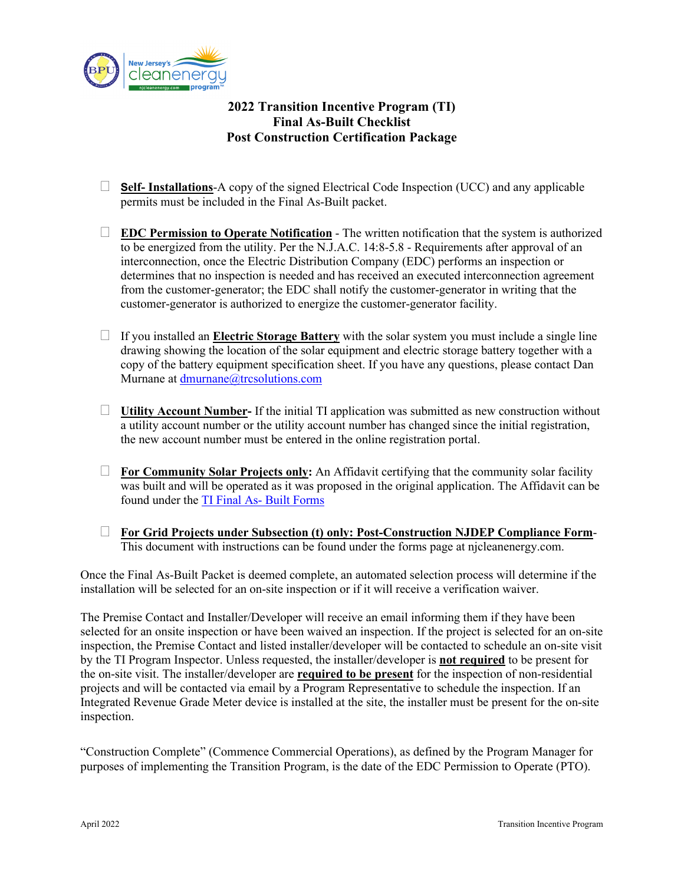

## **2022 Transition Incentive Program (TI) Final As-Built Checklist Post Construction Certification Package**

- **Self- Installations**-A copy of the signed Electrical Code Inspection (UCC) and any applicable permits must be included in the Final As-Built packet.
- **EDC Permission to Operate Notification** The written notification that the system is authorized to be energized from the utility. Per the N.J.A.C. 14:8-5.8 - Requirements after approval of an interconnection, once the Electric Distribution Company (EDC) performs an inspection or determines that no inspection is needed and has received an executed interconnection agreement from the customer-generator; the EDC shall notify the customer-generator in writing that the customer-generator is authorized to energize the customer-generator facility.
- $\Box$  If you installed an **Electric Storage Battery** with the solar system you must include a single line drawing showing the location of the solar equipment and electric storage battery together with a copy of the battery equipment specification sheet. If you have any questions, please contact Dan Murnane at dmurnane@trcsolutions.com
- **Utility Account Number-** If the initial TI application was submitted as new construction without a utility account number or the utility account number has changed since the initial registration, the new account number must be entered in the online registration portal.
- **For Community Solar Projects only:** An Affidavit certifying that the community solar facility was built and will be operated as it was proposed in the original application. The Affidavit can be found under the [TI Final As- Built Forms](https://njcleanenergy.com/renewable-energy/programs/transition-incentive-program)
- **For Grid Projects under Subsection (t) only: Post-Construction NJDEP Compliance Form**-This document with instructions can be found under the forms page at njcleanenergy.com.

Once the Final As-Built Packet is deemed complete, an automated selection process will determine if the installation will be selected for an on-site inspection or if it will receive a verification waiver.

The Premise Contact and Installer/Developer will receive an email informing them if they have been selected for an onsite inspection or have been waived an inspection. If the project is selected for an on-site inspection, the Premise Contact and listed installer/developer will be contacted to schedule an on-site visit by the TI Program Inspector. Unless requested, the installer/developer is **not required** to be present for the on-site visit. The installer/developer are **required to be present** for the inspection of non-residential projects and will be contacted via email by a Program Representative to schedule the inspection. If an Integrated Revenue Grade Meter device is installed at the site, the installer must be present for the on-site inspection.

"Construction Complete" (Commence Commercial Operations), as defined by the Program Manager for purposes of implementing the Transition Program, is the date of the EDC Permission to Operate (PTO).